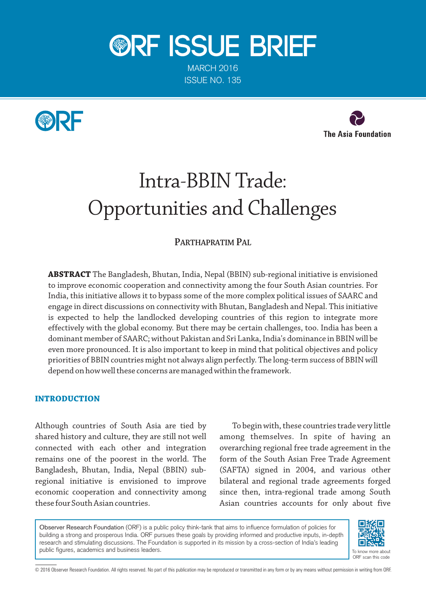

MARCH 2016 ISSUE NO. 135





# Intra-BBIN Trade: Opportunities and Challenges

## **PARTHAPRATIM PAL**

**ABSTRACT** The Bangladesh, Bhutan, India, Nepal (BBIN) sub-regional initiative is envisioned to improve economic cooperation and connectivity among the four South Asian countries. For India, this initiative allows it to bypass some of the more complex political issues of SAARC and engage in direct discussions on connectivity with Bhutan, Bangladesh and Nepal. This initiative is expected to help the landlocked developing countries of this region to integrate more effectively with the global economy. But there may be certain challenges, too. India has been a dominant member of SAARC; without Pakistan and Sri Lanka, India's dominance in BBIN will be even more pronounced. It is also important to keep in mind that political objectives and policy priorities of BBIN countries might not always align perfectly. The long-term success of BBIN will depend on how well these concerns are managed within the framework.

## **INTRODUCTION**

Although countries of South Asia are tied by shared history and culture, they are still not well connected with each other and integration remains one of the poorest in the world. The Bangladesh, Bhutan, India, Nepal (BBIN) subregional initiative is envisioned to improve economic cooperation and connectivity among these four South Asian countries.

To begin with, these countries trade very little among themselves. In spite of having an overarching regional free trade agreement in the form of the South Asian Free Trade Agreement (SAFTA) signed in 2004, and various other bilateral and regional trade agreements forged since then, intra-regional trade among South Asian countries accounts for only about five

Observer Research Foundation (ORF) is a public policy think-tank that aims to influence formulation of policies for building a strong and prosperous India. ORF pursues these goals by providing informed and productive inputs, in-depth research and stimulating discussions. The Foundation is supported in its mission by a cross-section of India's leading public figures, academics and business leaders.



ORF scan this code

© 2016 Observer Research Foundation. All rights reserved. No part of this publication may be reproduced or transmitted in any form or by any means without permission in writing from ORF.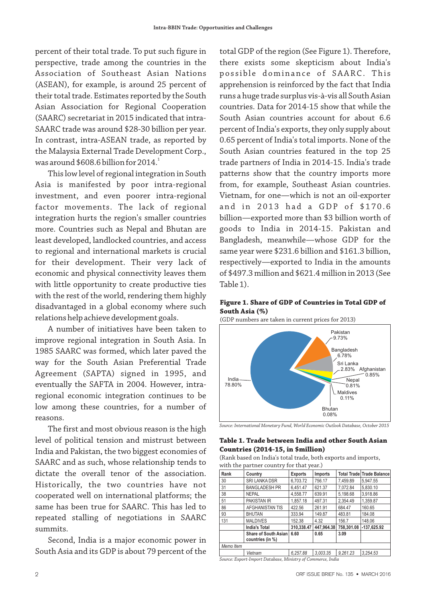percent of their total trade. To put such figure in perspective, trade among the countries in the Association of Southeast Asian Nations (ASEAN), for example, is around 25 percent of their total trade. Estimates reported by the South Asian Association for Regional Cooperation (SAARC) secretariat in 2015 indicated that intra-SAARC trade was around \$28-30 billion per year. In contrast, intra-ASEAN trade, as reported by the Malaysia External Trade Development Corp., was around  $$608.6$  billion for 2014.

This low level of regional integration in South Asia is manifested by poor intra-regional investment, and even poorer intra-regional factor movements. The lack of regional integration hurts the region's smaller countries more. Countries such as Nepal and Bhutan are least developed, landlocked countries, and access to regional and international markets is crucial for their development. Their very lack of economic and physical connectivity leaves them with little opportunity to create productive ties with the rest of the world, rendering them highly disadvantaged in a global economy where such relations help achieve development goals.

A number of initiatives have been taken to improve regional integration in South Asia. In 1985 SAARC was formed, which later paved the way for the South Asian Preferential Trade Agreement (SAPTA) signed in 1995, and eventually the SAFTA in 2004. However, intraregional economic integration continues to be low among these countries, for a number of reasons.

The first and most obvious reason is the high level of political tension and mistrust between India and Pakistan, the two biggest economies of SAARC and as such, whose relationship tends to dictate the overall tenor of the association. Historically, the two countries have not cooperated well on international platforms; the same has been true for SAARC. This has led to repeated stalling of negotiations in SAARC summits.

Second, India is a major economic power in South Asia and its GDP is about 79 percent of the

total GDP of the region (See Figure 1). Therefore, there exists some skepticism about India's possible dominance of SAARC. This apprehension is reinforced by the fact that India runs a huge trade surplus vis-à-vis all South Asian countries. Data for 2014-15 show that while the South Asian countries account for about 6.6 percent of India's exports, they only supply about 0.65 percent of India's total imports. None of the South Asian countries featured in the top 25 trade partners of India in 2014-15. India's trade patterns show that the country imports more from, for example, Southeast Asian countries. Vietnam, for one-which is not an oil-exporter and in 2013 had a GDP of \$170.6 billion—exported more than \$3 billion worth of goods to India in 2014-15. Pakistan and Bangladesh, meanwhile—whose GDP for the same year were \$231.6 billion and \$161.3 billion, respectively-exported to India in the amounts of \$497.3 million and \$621.4 million in 2013 (See Table 1).

#### **Figure 1. Share of GDP of Countries in Total GDP of South Asia (%)**

(GDP numbers are taken in current prices for 2013)





#### **Table 1. Trade between India and other South Asian Countries (2014-15, in \$million)**

(Rank based on India's total trade, both exports and imports, with the partner country for that year.)

| Rank      | Country                                         | <b>Exports</b> | Imports    |            | <b>Total Trade Trade Balance</b> |
|-----------|-------------------------------------------------|----------------|------------|------------|----------------------------------|
| 30        | <b>SRI LANKA DSR</b>                            | 6,703.72       | 756.17     | 7,459.89   | 5,947.55                         |
| 31        | <b>BANGLADESH PR</b>                            | 6.451.47       | 621.37     | 7.072.84   | 5.830.10                         |
| 38        | <b>NEPAL</b>                                    | 4,558.77       | 639.91     | 5.198.68   | 3.918.86                         |
| 51        | <b>PAKISTAN IR</b>                              | 1.857.18       | 497.31     | 2.354.49   | 1.359.87                         |
| 86        | AFGHANISTAN TIS                                 | 422.56         | 261.91     | 684.47     | 160.65                           |
| 93        | <b>BHUTAN</b>                                   | 333.94         | 149.87     | 483.81     | 184.08                           |
| 131       | <b>MALDIVES</b>                                 | 152.38         | 4.32       | 156.7      | 148.06                           |
|           | <b>India's Total</b>                            | 310.338.47     | 447.964.38 | 758,301.08 | $-137.625.92$                    |
|           | <b>Share of South Asian</b><br>countries (in %) | 6.60           | 0.65       | 3.09       |                                  |
| Memo Item |                                                 |                |            |            |                                  |
|           | Vietnam                                         | 6.257.88       | 3.003.35   | 9.261.23   | 3.254.53                         |

*Source: Export-Import Database, Ministry of Commerce, India*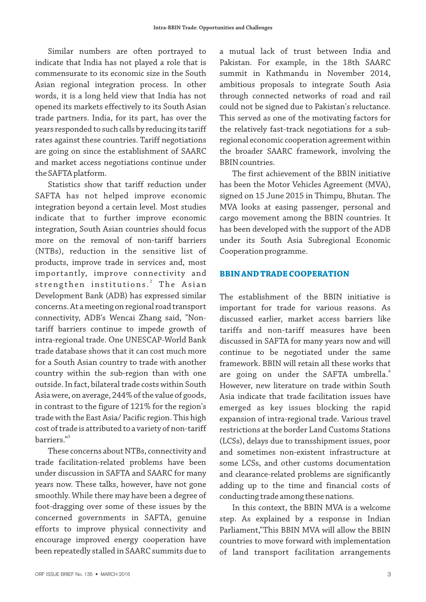Similar numbers are often portrayed to indicate that India has not played a role that is commensurate to its economic size in the South Asian regional integration process. In other words, it is a long held view that India has not opened its markets effectively to its South Asian trade partners. India, for its part, has over the years responded to such calls by reducing its tariff rates against these countries. Tariff negotiations are going on since the establishment of SAARC and market access negotiations continue under the SAFTA platform.

Statistics show that tariff reduction under SAFTA has not helped improve economic integration beyond a certain level. Most studies indicate that to further improve economic integration, South Asian countries should focus more on the removal of non-tariff barriers (NTBs), reduction in the sensitive list of products, improve trade in services and, most importantly, improve connectivity and strengthen institutions.<sup>2</sup> The Asian Development Bank (ADB) has expressed similar concerns. At a meeting on regional road transport connectivity, ADB's Wencai Zhang said, "Nontariff barriers continue to impede growth of intra-regional trade. One UNESCAP-World Bank trade database shows that it can cost much more for a South Asian country to trade with another country within the sub-region than with one outside. In fact, bilateral trade costs within South Asia were, on average, 244% of the value of goods, in contrast to the figure of 121% for the region's trade with the East Asia/ Pacific region. This high cost of trade is attributed to a variety of non-tariff barriers."<sup>3</sup>

These concerns about NTBs, connectivity and trade facilitation-related problems have been under discussion in SAFTA and SAARC for many years now. These talks, however, have not gone smoothly. While there may have been a degree of foot-dragging over some of these issues by the concerned governments in SAFTA, genuine efforts to improve physical connectivity and encourage improved energy cooperation have been repeatedly stalled in SAARC summits due to

a mutual lack of trust between India and Pakistan. For example, in the 18th SAARC summit in Kathmandu in November 2014, ambitious proposals to integrate South Asia through connected networks of road and rail could not be signed due to Pakistan's reluctance. This served as one of the motivating factors for the relatively fast-track negotiations for a subregional economic cooperation agreement within the broader SAARC framework, involving the BBIN countries.

The first achievement of the BBIN initiative has been the Motor Vehicles Agreement (MVA), signed on 15 June 2015 in Thimpu, Bhutan. The MVA looks at easing passenger, personal and cargo movement among the BBIN countries. It has been developed with the support of the ADB under its South Asia Subregional Economic Cooperation programme.

## **BBIN AND TRADE COOPERATION**

The establishment of the BBIN initiative is important for trade for various reasons. As discussed earlier, market access barriers like tariffs and non-tariff measures have been discussed in SAFTA for many years now and will continue to be negotiated under the same framework. BBIN will retain all these works that are going on under the SAFTA umbrella.<sup>4</sup> However, new literature on trade within South Asia indicate that trade facilitation issues have emerged as key issues blocking the rapid expansion of intra-regional trade. Various travel restrictions at the border Land Customs Stations (LCSs), delays due to transshipment issues, poor and sometimes non-existent infrastructure at some LCSs, and other customs documentation and clearance-related problems are significantly adding up to the time and financial costs of conducting trade among these nations.

In this context, the BBIN MVA is a welcome step. As explained by a response in Indian Parliament, "This BBIN MVA will allow the BBIN countries to move forward with implementation of land transport facilitation arrangements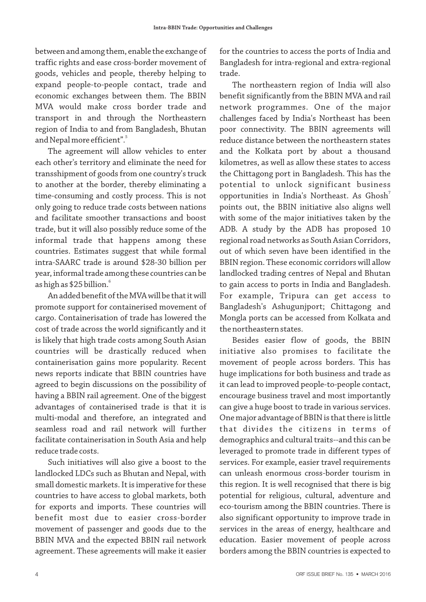between and among them, enable the exchange of traffic rights and ease cross-border movement of goods, vehicles and people, thereby helping to expand people-to-people contact, trade and economic exchanges between them. The BBIN MVA would make cross border trade and transport in and through the Northeastern region of India to and from Bangladesh, Bhutan and Nepal more efficient".<sup>5</sup>

The agreement will allow vehicles to enter each other's territory and eliminate the need for transshipment of goods from one country's truck to another at the border, thereby eliminating a time-consuming and costly process. This is not only going to reduce trade costs between nations and facilitate smoother transactions and boost trade, but it will also possibly reduce some of the informal trade that happens among these countries. Estimates suggest that while formal intra-SAARC trade is around \$28-30 billion per year, informal trade among these countries can be as high as \$25 billion. $^{\rm 6}$ 

An added benefit of the MVA will be that it will promote support for containerised movement of cargo. Containerisation of trade has lowered the cost of trade across the world significantly and it is likely that high trade costs among South Asian countries will be drastically reduced when containerisation gains more popularity. Recent news reports indicate that BBIN countries have agreed to begin discussions on the possibility of having a BBIN rail agreement. One of the biggest advantages of containerised trade is that it is multi-modal and therefore, an integrated and seamless road and rail network will further facilitate containerisation in South Asia and help reduce trade costs.

Such initiatives will also give a boost to the landlocked LDCs such as Bhutan and Nepal, with small domestic markets. It is imperative for these countries to have access to global markets, both for exports and imports. These countries will benefit most due to easier cross-border movement of passenger and goods due to the BBIN MVA and the expected BBIN rail network agreement. These agreements will make it easier for the countries to access the ports of India and Bangladesh for intra-regional and extra-regional trade.

The northeastern region of India will also benefit significantly from the BBIN MVA and rail network programmes. One of the major challenges faced by India's Northeast has been poor connectivity. The BBIN agreements will reduce distance between the northeastern states and the Kolkata port by about a thousand kilometres, as well as allow these states to access the Chittagong port in Bangladesh. This has the potential to unlock significant business opportunities in India's Northeast. As Ghosh<sup>7</sup> points out, the BBIN initiative also aligns well with some of the major initiatives taken by the ADB. A study by the ADB has proposed 10 regional road networks as South Asian Corridors, out of which seven have been identified in the BBIN region. These economic corridors will allow landlocked trading centres of Nepal and Bhutan to gain access to ports in India and Bangladesh. For example, Tripura can get access to Bangladesh's Ashugunjport; Chittagong and Mongla ports can be accessed from Kolkata and the northeastern states.

Besides easier flow of goods, the BBIN initiative also promises to facilitate the movement of people across borders. This has huge implications for both business and trade as it can lead to improved people-to-people contact, encourage business travel and most importantly can give a huge boost to trade in various services. One major advantage of BBIN is that there is little that divides the citizens in terms of demographics and cultural traits--and this can be leveraged to promote trade in different types of services. For example, easier travel requirements can unleash enormous cross-border tourism in this region. It is well recognised that there is big potential for religious, cultural, adventure and eco-tourism among the BBIN countries. There is also significant opportunity to improve trade in services in the areas of energy, healthcare and education. Easier movement of people across borders among the BBIN countries is expected to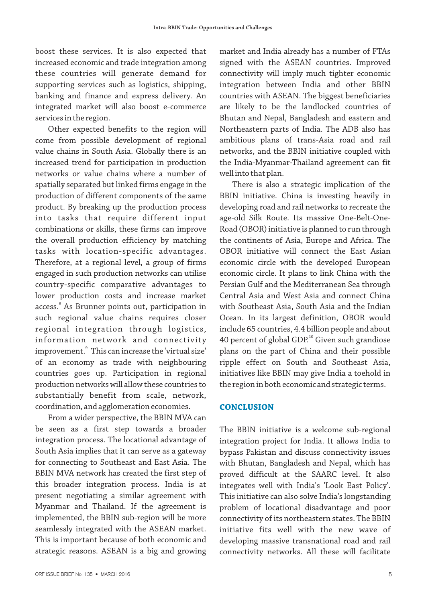boost these services. It is also expected that increased economic and trade integration among these countries will generate demand for supporting services such as logistics, shipping, banking and finance and express delivery. An integrated market will also boost e-commerce services in the region.

Other expected benefits to the region will come from possible development of regional value chains in South Asia. Globally there is an increased trend for participation in production networks or value chains where a number of spatially separated but linked firms engage in the production of different components of the same product. By breaking up the production process into tasks that require different input combinations or skills, these firms can improve the overall production efficiency by matching tasks with location-specific advantages. Therefore, at a regional level, a group of firms engaged in such production networks can utilise country-specific comparative advantages to lower production costs and increase market access. $\degree$  As Brunner points out, participation in such regional value chains requires closer regional integration through logistics, information network and connectivity improvement. $^{\circ}$  This can increase the 'virtual size' of an economy as trade with neighbouring countries goes up. Participation in regional production networks will allow these countries to substantially benefit from scale, network, coordination, and agglomeration economies.

From a wider perspective, the BBIN MVA can be seen as a first step towards a broader integration process. The locational advantage of South Asia implies that it can serve as a gateway for connecting to Southeast and East Asia. The BBIN MVA network has created the first step of this broader integration process. India is at present negotiating a similar agreement with Myanmar and Thailand. If the agreement is implemented, the BBIN sub-region will be more seamlessly integrated with the ASEAN market. This is important because of both economic and strategic reasons. ASEAN is a big and growing

market and India already has a number of FTAs signed with the ASEAN countries. Improved connectivity will imply much tighter economic integration between India and other BBIN countries with ASEAN. The biggest beneficiaries are likely to be the landlocked countries of Bhutan and Nepal, Bangladesh and eastern and Northeastern parts of India. The ADB also has ambitious plans of trans-Asia road and rail networks, and the BBIN initiative coupled with the India-Myanmar-Thailand agreement can fit well into that plan.

There is also a strategic implication of the BBIN initiative. China is investing heavily in developing road and rail networks to recreate the age-old Silk Route. Its massive One-Belt-One-Road (OBOR) initiative is planned to run through the continents of Asia, Europe and Africa. The OBOR initiative will connect the East Asian economic circle with the developed European economic circle. It plans to link China with the Persian Gulf and the Mediterranean Sea through Central Asia and West Asia and connect China with Southeast Asia, South Asia and the Indian Ocean. In its largest definition, OBOR would include 65 countries, 4.4 billion people and about 40 percent of global GDP. $^{10}$  Given such grandiose plans on the part of China and their possible ripple effect on South and Southeast Asia, initiatives like BBIN may give India a toehold in the region in both economic and strategic terms.

#### **CONCLUSION**

The BBIN initiative is a welcome sub-regional integration project for India. It allows India to bypass Pakistan and discuss connectivity issues with Bhutan, Bangladesh and Nepal, which has proved difficult at the SAARC level. It also integrates well with India's 'Look East Policy'. This initiative can also solve India's longstanding problem of locational disadvantage and poor connectivity of its northeastern states. The BBIN initiative fits well with the new wave of developing massive transnational road and rail connectivity networks. All these will facilitate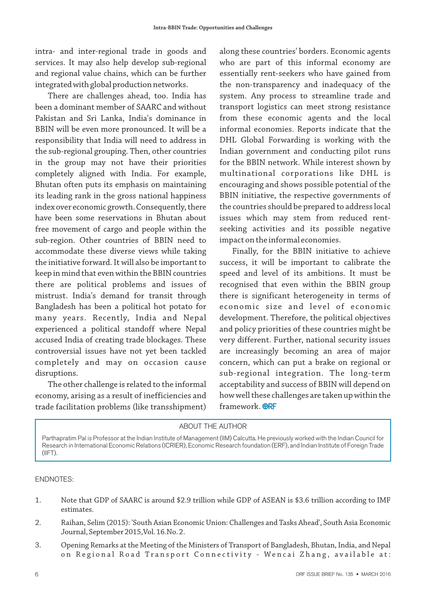intra- and inter-regional trade in goods and services. It may also help develop sub-regional and regional value chains, which can be further integrated with global production networks.

There are challenges ahead, too. India has been a dominant member of SAARC and without Pakistan and Sri Lanka, India's dominance in BBIN will be even more pronounced. It will be a responsibility that India will need to address in the sub-regional grouping. Then, other countries in the group may not have their priorities completely aligned with India. For example, Bhutan often puts its emphasis on maintaining its leading rank in the gross national happiness index over economic growth. Consequently, there have been some reservations in Bhutan about free movement of cargo and people within the sub-region. Other countries of BBIN need to accommodate these diverse views while taking the initiative forward. It will also be important to keep in mind that even within the BBIN countries there are political problems and issues of mistrust. India's demand for transit through Bangladesh has been a political hot potato for many years. Recently, India and Nepal experienced a political standoff where Nepal accused India of creating trade blockages. These controversial issues have not yet been tackled completely and may on occasion cause disruptions.

The other challenge is related to the informal economy, arising as a result of inefficiencies and trade facilitation problems (like transshipment)

along these countries' borders. Economic agents who are part of this informal economy are essentially rent-seekers who have gained from the non-transparency and inadequacy of the system. Any process to streamline trade and transport logistics can meet strong resistance from these economic agents and the local informal economies. Reports indicate that the DHL Global Forwarding is working with the Indian government and conducting pilot runs for the BBIN network. While interest shown by multinational corporations like DHL is encouraging and shows possible potential of the BBIN initiative, the respective governments of the countries should be prepared to address local issues which may stem from reduced rentseeking activities and its possible negative impact on the informal economies.

Finally, for the BBIN initiative to achieve success, it will be important to calibrate the speed and level of its ambitions. It must be recognised that even within the BBIN group there is significant heterogeneity in terms of economic size and level of economic development. Therefore, the political objectives and policy priorities of these countries might be very different. Further, national security issues are increasingly becoming an area of major concern, which can put a brake on regional or sub-regional integration. The long-term acceptability and success of BBIN will depend on how well these challenges are taken up within the framework. **ORF** 

## ABOUT THE AUTHOR

Parthapratim Pal is Professor at the Indian Institute of Management (IIM) Calcutta. He previously worked with the Indian Council for Research in International Economic Relations (ICRIER), Economic Research foundation (ERF), and Indian Institute of Foreign Trade (IIFT).

ENDNOTES:

- 1. Note that GDP of SAARC is around \$2.9 trillion while GDP of ASEAN is \$3.6 trillion according to IMF estimates.
- 2. Raihan, Selim (2015): 'South Asian Economic Union: Challenges and Tasks Ahead', South Asia Economic Journal, September 2015,Vol. 16.No. 2.
- 3. Opening Remarks at the Meeting of the Ministers of Transport of Bangladesh, Bhutan, India, and Nepal on Regional Road Transport Connectivity - Wencai Zhang, available at: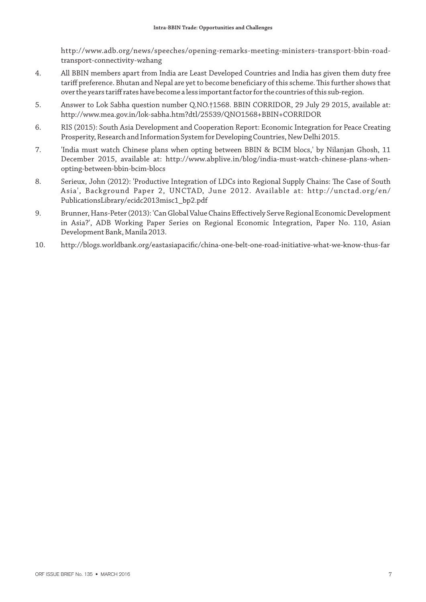http://www.adb.org/news/speeches/opening-remarks-meeting-ministers-transport-bbin-roadtransport-connectivity-wzhang

- 4. All BBIN members apart from India are Least Developed Countries and India has given them duty free tariff preference. Bhutan and Nepal are yet to become beneficiary of this scheme. This further shows that over the years tariff rates have become a less important factor for the countries of this sub-region.
- 5. Answer to Lok Sabha question number Q.NO.†1568. BBIN CORRIDOR, 29 July 29 2015, available at: http://www.mea.gov.in/lok-sabha.htm?dtl/25539/QNO1568+BBIN+CORRIDOR
- 6. RIS (2015): South Asia Development and Cooperation Report: Economic Integration for Peace Creating Prosperity, Research and Information System for Developing Countries, New Delhi 2015.
- 7. 'India must watch Chinese plans when opting between BBIN & BCIM blocs,' by Nilanjan Ghosh, 11 December 2015, available at: http://www.abplive.in/blog/india-must-watch-chinese-plans-whenopting-between-bbin-bcim-blocs
- 8. Serieux, John (2012): 'Productive Integration of LDCs into Regional Supply Chains: The Case of South Asia', Background Paper 2, UNCTAD, June 2012. Available at: http://unctad.org/en/ PublicationsLibrary/ecidc2013misc1\_bp2.pdf
- 9. Brunner, Hans-Peter (2013): 'Can Global Value Chains Effectively Serve Regional Economic Development in Asia?', ADB Working Paper Series on Regional Economic Integration, Paper No. 110, Asian Development Bank, Manila 2013.
- 10. http://blogs.worldbank.org/eastasiapacific/china-one-belt-one-road-initiative-what-we-know-thus-far